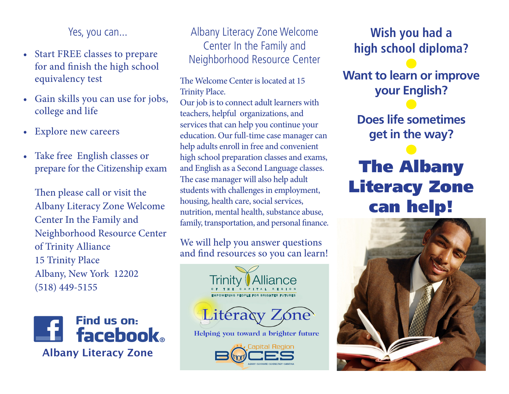Yes, you can...

- Start FREE classes to prepare for and finish the high school equivalency test
- Gain skills you can use for jobs, college and life
- Explore new careers
- Take free English classes or prepare for the Citizenship exam

Then please call or visit the Albany Literacy Zone Welcome Center In the Family and Neighborhood Resource Center of Trinity Alliance 15 Trinity Place Albany, New York 12202 (518) 449-5155



# Albany Literacy Zone Welcome Center In the Family and Neighborhood Resource Center

The Welcome Center is located at 15 Trinity Place.

Our job is to connect adult learners with teachers, helpful organizations, and services that can help you continue your education. Our full-time case manager can help adults enroll in free and convenient high school preparation classes and exams, and English as a Second Language classes. The case manager will also help adult students with challenges in employment, housing, health care, social services, nutrition, mental health, substance abuse, family, transportation, and personal finance.

We will help you answer questions and find resources so you can learn!



**Wish you had a high school diploma?**

**Want to learn or improve your English?** 

> **Does life sometimes get in the way?**

# The Albany Literacy Zone can help!